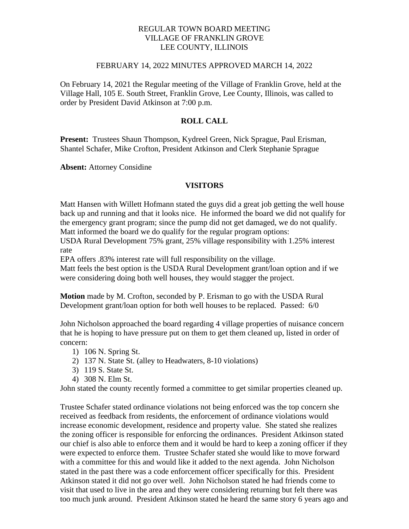## REGULAR TOWN BOARD MEETING VILLAGE OF FRANKLIN GROVE LEE COUNTY, ILLINOIS

#### FEBRUARY 14, 2022 MINUTES APPROVED MARCH 14, 2022

On February 14, 2021 the Regular meeting of the Village of Franklin Grove, held at the Village Hall, 105 E. South Street, Franklin Grove, Lee County, Illinois, was called to order by President David Atkinson at 7:00 p.m.

## **ROLL CALL**

**Present:** Trustees Shaun Thompson, Kydreel Green, Nick Sprague, Paul Erisman, Shantel Schafer, Mike Crofton, President Atkinson and Clerk Stephanie Sprague

**Absent:** Attorney Considine

## **VISITORS**

Matt Hansen with Willett Hofmann stated the guys did a great job getting the well house back up and running and that it looks nice. He informed the board we did not qualify for the emergency grant program; since the pump did not get damaged, we do not qualify. Matt informed the board we do qualify for the regular program options:

USDA Rural Development 75% grant, 25% village responsibility with 1.25% interest rate

EPA offers .83% interest rate will full responsibility on the village.

Matt feels the best option is the USDA Rural Development grant/loan option and if we were considering doing both well houses, they would stagger the project.

**Motion** made by M. Crofton, seconded by P. Erisman to go with the USDA Rural Development grant/loan option for both well houses to be replaced. Passed: 6/0

John Nicholson approached the board regarding 4 village properties of nuisance concern that he is hoping to have pressure put on them to get them cleaned up, listed in order of concern:

- 1) 106 N. Spring St.
- 2) 137 N. State St. (alley to Headwaters, 8-10 violations)
- 3) 119 S. State St.
- 4) 308 N. Elm St.

John stated the county recently formed a committee to get similar properties cleaned up.

Trustee Schafer stated ordinance violations not being enforced was the top concern she received as feedback from residents, the enforcement of ordinance violations would increase economic development, residence and property value. She stated she realizes the zoning officer is responsible for enforcing the ordinances. President Atkinson stated our chief is also able to enforce them and it would be hard to keep a zoning officer if they were expected to enforce them. Trustee Schafer stated she would like to move forward with a committee for this and would like it added to the next agenda. John Nicholson stated in the past there was a code enforcement officer specifically for this. President Atkinson stated it did not go over well. John Nicholson stated he had friends come to visit that used to live in the area and they were considering returning but felt there was too much junk around. President Atkinson stated he heard the same story 6 years ago and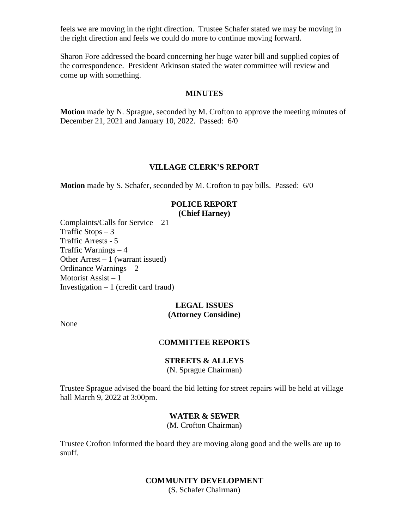feels we are moving in the right direction. Trustee Schafer stated we may be moving in the right direction and feels we could do more to continue moving forward.

Sharon Fore addressed the board concerning her huge water bill and supplied copies of the correspondence. President Atkinson stated the water committee will review and come up with something.

#### **MINUTES**

**Motion** made by N. Sprague, seconded by M. Crofton to approve the meeting minutes of December 21, 2021 and January 10, 2022. Passed: 6/0

#### **VILLAGE CLERK'S REPORT**

**Motion** made by S. Schafer, seconded by M. Crofton to pay bills. Passed: 6/0

#### **POLICE REPORT (Chief Harney)**

Complaints/Calls for Service – 21 Traffic Stops  $-3$ Traffic Arrests - 5 Traffic Warnings – 4 Other Arrest  $-1$  (warrant issued) Ordinance Warnings – 2 Motorist Assist – 1 Investigation  $-1$  (credit card fraud)

#### **LEGAL ISSUES (Attorney Considine)**

None

### C**OMMITTEE REPORTS**

#### **STREETS & ALLEYS**

(N. Sprague Chairman)

Trustee Sprague advised the board the bid letting for street repairs will be held at village hall March 9, 2022 at 3:00pm.

## **WATER & SEWER**

(M. Crofton Chairman)

Trustee Crofton informed the board they are moving along good and the wells are up to snuff.

#### **COMMUNITY DEVELOPMENT**

(S. Schafer Chairman)